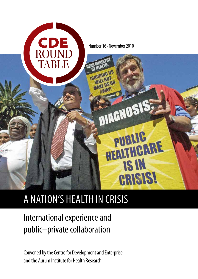

# A nation's health in crisis

# International experience and public–private collaboration

Convened by the Centre for Development and Enterprise and the Aurum Institute for Health Research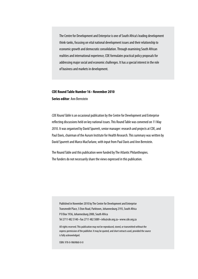The Centre for Development and Enterprise is one of South Africa's leading development think-tanks, focusing on vital national development issues and their relationship to economic growth and democratic consolidation. Through examining South African realities and international experience, CDE formulates practical policy proposals for addressing major social and economic challenges. It has a special interest in the role of business and markets in development.

## **CDE Round Table Number 16 • November 2010 Series editor**: Ann Bernstein

*CDE Round Table* is an occasional publication by the Centre for Development and Enterprise reflecting discussions held on key national issues. This Round Table was convened on 11 May 2010. It was organised by David Spurrett, senior manager: research and projects at CDE, and Paul Davis, chairman of the Aurum Institute for Health Research. This summary was written by David Spurrett and Marco MacFarlane, with input from Paul Davis and Ann Bernstein.

The Round Table and this publication were funded by The Atlantic Philanthropies. The funders do not necessarily share the views expressed in this publication.

Published in November 2010 by The Centre for Development and Enterprise Transmedit Place, 5 Eton Road, Parktown, Johannesburg 2193, South Africa P O Box 1936, Johannesburg 2000, South Africa

Tel 2711 482 5140 • Fax 2711 482 5089 • info@cde.org.za • www.cde.org.za

All rights reserved. This publication may not be reproduced, stored, or transmitted without the express permission of the publisher. It may be quoted, and short extracts used, provided the source is fully acknowledged.

ISBN: 978-0-9869860-0-0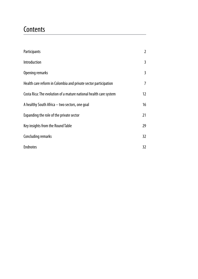## **Contents**

| Participants                                                      | 2  |
|-------------------------------------------------------------------|----|
| Introduction                                                      | 3  |
| Opening remarks                                                   | 3  |
| Health care reform in Colombia and private sector participation   | 7  |
| Costa Rica: The evolution of a mature national health care system | 12 |
| A healthy South Africa – two sectors, one goal                    | 16 |
| Expanding the role of the private sector                          | 21 |
| Key insights from the Round Table                                 | 29 |
| Concluding remarks                                                | 32 |
| <b>Endnotes</b>                                                   | 32 |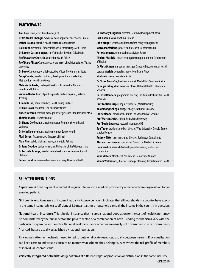#### **Participants**

**Ann Bernstein**, executive director, CDE **Dr Ntuthuko Bhengu**, executive head of provider networks, Qualsa **Esther Bouma**, attaché: health sector, European Union **Roly Buys**, director for funder relations & contracting, Medi-Clinic **Dr Ramon Castano-Yepes**, chief of health division, Colsubsidio **Prof Matthew Chersich**, Centre for Health Policy **Prof Mary Alison Clark**, associate professor of political science, Tulane **University Dr Dave Clark**, deputy chief executive officer, The Aurum Institute **Craig Comrie**, head of business, development and marketing, Metropolitan Healthcare Group **Melanie da Costa**, strategy & health policy director, Network Healthcare Holdings **William Dachs**, head of public–private partnership unit, National **Treasury Aslam Dasoo**, board member, Health Equity Partners **Dr Paul Davis**, chairman, The Aurum Institute **Andee Deverell**, research manager: strategic issues, Standard Bank of SA **Thembi Dladla**, researcher, CDE **Dr Shane Dorfman**, managing director, Regiment's Health and **Wellness Dr Colin Eisenstein**, managing member, Equity Health **Mari Gerpe**, first secretary, Embassy of Brazil **Alan Fine**, public affairs manager, AngloGold Ashanti **Dr Jane Goudge**, senior researcher, University of the Witwatersrand **Dr Lettie la Grange**, head of safety health and environment, Anglo Platinum **Simon Hendrie**, divisional manager - actuary, Discovery Health **Dr Anthony Kinghorn**, director, Health & Development Africa **Jack Koolen**, consultant, J & J Group **John Kruger**, senior consultant, Oxford Policy Management **Marco Macfarlane**, project and research co-ordinator, CDE **Peter Mangena**, senior wellness advisor, Eskom **Thulani Masilela**, cluster manager: strategic planning, Department of Health **Dr Phila Mazamisa**, senior manager, Gauteng Department of Health **Lerato Mosiah**, general manager healthcare, Afrox **Modise Mzimba**, associate, Actis **Dr Okore Okorafor**, health economist, Medi-Clinic Southern Africa **Dr Sagie Pillay**, chief executive officer, National Health Laboratory Services **Dr Fazel Randera**, programme director, The Aurum Institute for Health Research **Prof Laetitia Rispel**, adjunct professor, Wits University **Kalaemang Sebego**, budget analyst, National Treasury **Joe Seoloane**, provisional curator, Pro Sano Medical Scheme **Prof Martin Smith**, clinical head, Wits University **Prof David Spurrett**, research manager, CDE **Sue Tager**, academic medical director, Wits University: Donald Gordon Medical Centre **Andrew Titterton**, managing director, Burlington Consultants **Alex van den Heever**, consultant, Council for Medical Schemes **Hein van Eck**, research & development manager, Medi-Clinic Corporation **Mike Waters**, Member of Parliament, Democratic Alliance **Milani Wolmarans**, director: strategic planning, Department of Health

#### **Selected definitions**

**Capitation:** A fixed payment remitted at regular intervals to a medical provider by a managed care organisation for an enrolled patient.

**Gini coefficient**: A measure of income inequality. A zero coefficient indicates that all households in a country have exactly the same income, while a coefficient of 1.0 means a single household earns all the income in the country in question.

**National health insurance**: This is health insurance that insures a national population for the costs of health care. It may be administered by the public sector, the private sector, or a combination of both. Funding mechanisms vary with the particular programme and country. National health insurance schemes are usually not government-run or governmentfinanced, but are usually established by national legislation.

**Risk equalisation**: A mechanism used to redistribute or allocate resources, usually between insurers. Risk equalisation can keep costs to individuals constant no matter what scheme they belong to, even where the risk profile of members of individual schemes varies.

**Vertically integrated networks**: Merger of firms at different stages of production or distribution in the same industry.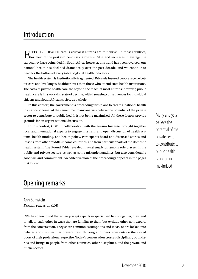## Introduction

Effective health care is crucial if citizens are to flourish. In most countries, for most of the past two centuries, growth in GDP and increases in average life expectancy have coincided. In South Africa, however, this trend has been reversed; our national health has declined dramatically over the past decade, and we continue to head for the bottom of every table of global health indicators.

The health system is institutionally fragmented. Privately insured people receive better care and live longer, healthier lives than those who attend state health institutions. The costs of private health care are beyond the reach of most citizens; however, public health care is in a worrying state of decline, with damaging consequences for individual citizens and South African society as a whole.

In this context, the government is proceeding with plans to create a national health insurance scheme. At the same time, many analysts believe the potential of the private sector to contribute to public health is not being maximised. All these factors provide grounds for an urgent national discussion.

In this context, CDE, in collaboration with the Aurum Institute, brought together local and international experts to engage in a frank and open discussion of health systems, health funding, and health policy. Participants heard and discussed stories and lessons from other middle-income countries, and from particular parts of the domestic health system. The Round Table revealed mutual suspicion among role players in the public and private sectors, as well as some misunderstandings, but also considerable good will and commitment. An edited version of the proceedings appears in the pages that follow.

## Opening remarks

#### Ann Bernstein

*Executive director, CDE*

CDE has often found that when you get experts in specialised fields together, they tend to talk to each other in ways that are familiar to them but exclude other non-experts from the conversation. They share common assumptions and ideas, or are locked into debates and disputes that prevent fresh thinking and ideas from outside the closed doors of their professional expertise. Today's conversation crosses disciplinary boundaries and brings in people from other countries, other disciplines, and the private and public sectors.

Many analysts believe the potential of the private sector to contribute to public health is not being maximised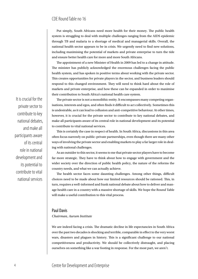Put simply, South Africans need more health for their money. The public health system is struggling to deal with multiple challenges ranging from the AIDS epidemic through TB and malaria to a shortage of medical and managerial skills. Overall, the national health sector appears to be in crisis. We urgently need to find new solutions, including maximising the potential of markets and private enterprise to turn the tide and ensure better health care for more and more South Africans.

The appointment of a new Minister of Health in 2009 has led to a change in attitude. The minister has publicly acknowledged the enormous challenges facing the public health system, and has spoken in positive terms about working with the private sector. This creates opportunities for private players in the sector, and business leaders should respond to this changed environment. They will need to think hard about the role of markets and private enterprise, and how these can be expanded in order to maximise their contribution to South Africa's national health care system.

The private sector is not a monolithic entity. It encompasses many competing organisations, interests and egos, and often finds it difficult to act collectively. Sometimes this is undesirable, as it can lead to collusion and anti-competitive behaviour. At other times, however, it is crucial for the private sector to contribute to key national debates, and make all participants aware of its central role in national development and its potential to contribute to vital national services.

This is certainly the case in respect of health. In South Africa, discussions in this area often focus narrowly on public–private partnerships, even though there are many other ways of involving the private sector and enabling markets to play a far larger role in dealing with national challenges.

As an outsider to this sector, it seems to me that private sector players have to become far more strategic. They have to think about how to engage with government and the wider society over the direction of public health policy, the nature of the reforms the country needs, and what we can actually achieve.

The health sector faces some daunting challenges. Among other things, difficult choices need to be made about how our limited resources should be rationed. This, in turn, requires a well-informed and frank national debate about how to deliver and manage health care in a country with a massive shortage of skills. We hope the Round Table will make a useful contribution to this vital process.

#### Paul Davis

*Chairman, Aurum Institute*

We are indeed facing a crisis. The dramatic decline in life expectancies in South Africa over the past two decades is shocking and terrible, comparable in effect to the very worst wars, disasters and plagues in history. This is a significant challenge to our national competitiveness and productivity. We should be collectively distraught, and placing ourselves on something like a war footing in response. For the most part, we aren't.

It is crucial for the private sector to contribute to key national debates, and make all participants aware of its central role in national development and its potential to contribute to vital national services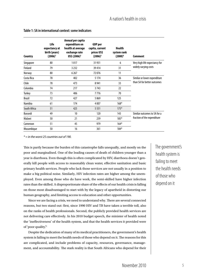| Country       | Life<br>expectancy at<br>birth (years)<br>$(2006)^1$ | Annual per capita<br>expenditure on<br>health at average<br>exchange rate<br>US\$ (2006) <sup>2</sup> | <b>GDP</b> per<br>capita, current<br>prices US\$<br>$(2006)^3$ | <b>Health</b><br>system rank<br>$(2000)^4$ | Comment                                                     |
|---------------|------------------------------------------------------|-------------------------------------------------------------------------------------------------------|----------------------------------------------------------------|--------------------------------------------|-------------------------------------------------------------|
| Singapore     | 80                                                   | 1017                                                                                                  | 31931                                                          | 6                                          | Very high life expectancy for<br>widely varying costs       |
| Finland       | 79                                                   | 3 2 3 2                                                                                               | 39414                                                          | 31                                         |                                                             |
| Norway        | 80                                                   | 6 2 6 7                                                                                               | 72076                                                          | 11                                         |                                                             |
| Costa Rica    | 78                                                   | 402                                                                                                   | 5 1 7 4                                                        | 36                                         | Similar or lower expenditure<br>than SA for better outcomes |
| Chile         | 78                                                   | 473                                                                                                   | 8941                                                           | 33                                         |                                                             |
| Colombia      | 74                                                   | 217                                                                                                   | 3743                                                           | 22                                         |                                                             |
| Turkey        | 73                                                   | 406                                                                                                   | 7776                                                           | 70                                         |                                                             |
| <b>Brazil</b> | 72                                                   | 427                                                                                                   | 5869                                                           | 125                                        |                                                             |
| Namibia       | 61                                                   | 174                                                                                                   | 4 0 0 7                                                        | $168*$                                     |                                                             |
| South Africa  | 51                                                   | 425                                                                                                   | 5551                                                           | $175*$                                     |                                                             |
| Burundi       | 49                                                   | 10                                                                                                    | 120                                                            | 143                                        | Similar outcomes to SA for a<br>fraction of the expenditure |
| Malawi        | 50                                                   | 21                                                                                                    | 239                                                            | $185*$                                     |                                                             |
| Cameroon      | 51                                                   | 45                                                                                                    | 979                                                            | $164*$                                     |                                                             |
| Mozambique    | 50                                                   | 16                                                                                                    | 361                                                            | $184*$                                     |                                                             |

#### **Table 1: SA in international context: some indicators**

*\* = in the worst 25 countries out of 190.* 

This is partly because the burden of this catastrophe falls unequally, and mostly on the poor and marginalised. One of the leading causes of death of children younger than a year is diarrhoea. Even though this is often complicated by HIV, diarrhoea doesn't generally kill people with access to reasonably clean water, effective sanitation and basic primary health services. People who lack those services are not usually in a position to make a big political noise. Similarly, HIV infection rates are higher among the unemployed. Even among those who do have work, the semi-skilled have higher infection rates than the skilled. A disproportionate share of the effects of our health crisis is falling on those most disadvantaged to start with by the legacy of apartheid in distorting our human geography, and limiting access to education and other opportunities.

Since we are facing a crisis, we need to understand why. There are several connected reasons, but two stand out: first, since 1990 HIV and TB have taken a terrible toll, also on the ranks of health professionals. Second, the publicly provided health services are not delivering care effectively. In his 2010 budget speech, the minister of health noted the 'ineffectiveness' of the health system, and that the health services it provided were of 'poor quality'.<sup>5</sup>

Despite the dedication of many of its medical practitioners, the government's health system is failing to meet the health needs of those who depend on it. The reasons for this are complicated, and include problems of capacity, resources, governance, management, and accountability. The stark reality is that South Africans who depend for their

The government's health system is failing to meet the health needs of those who depend on it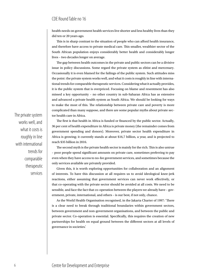health needs on government health services live shorter and less healthy lives than they did ten or 20 years ago.

This is in sharp contrast to the situation of people who can afford health insurance, and therefore have access to private medical care. This smaller, wealthier sector of the South African population enjoys considerably better health and considerably longer lives – two decades longer on average.

The gap between health outcomes in the private and public sectors can be a divisive issue in policy discussions. Some regard the private system as elitist and mercenary. Occasionally it is even blamed for the failings of the public system. Such attitudes miss the point: the private system works well, and what it costs is roughly in line with international trends for comparable therapeutic services. Considering what it actually provides, it is the public system that is overpriced. Focusing on blame and resentment has also missed a key opportunity – no other country in sub-Saharan Africa has as extensive and advanced a private health system as South Africa. We should be looking for ways to make the most of this. The relationship between private care and poverty is more complicated than many suppose, and there are some popular myths about private sector health care in Africa.

The first is that health in Africa is funded or financed by the public sector. Actually, 36 per cent of health expenditure in Africa is private money (the remainder comes from government spending and donors). Moreover, private sector health expenditure in Africa is growing; it currently stands at about \$16,7 billion, a year, and is projected to reach \$35 billion in 2016.

The second myth is the private health sector is mainly for the rich. This is also untrue – poor people spend significant amounts on private care, sometimes preferring to pay even when they have access to no-fee government services, and sometimes because the only services available are privately provided.

Given this, it is worth exploring opportunities for collaboration and an alignment of interests. To have this discussion at all requires us to avoid ideological knee-jerk reactions, either assuming that government services can never work effectively, or that co-operating with the private sector should be avoided at all costs. We need to be sensible, and face the fact that co-operation between the players we already have – government, private, international, and others – is our best, if not only, chance.

As the World Health Organisation recognised, in the Jakarta Charter of 1997: 'There is a clear need to break through traditional boundaries within government sectors, between government and non-government organisations, and between the public and private sector. Co-operation is essential. Specifically, this requires the creation of new partnerships for health on equal ground between the different sectors at all levels of governance in societies.'

The private system works well, and what it costs is roughly in line with international trends for comparable therapeutic services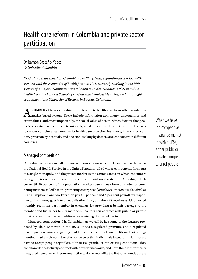## Health care reform in Colombia and private sector participation

## Dr Ramon Castaño-Yepes

*Colsubsidio, Colombia*

*Dr Castano is an expert on Colombian health systems, expanding access to health services, and the economics of health finance. He is currently working in the PPP section of a major Colombian private health provider. He holds a PhD in public health from the London School of Hygiene and Tropical Medicine, and has taught economics at the University of Rosario in Bogota, Colombia.*

 $A$ <sup>NUMBER</sup> of factors combine to differentiate health care from other goods in a market-based system. These include information asymmetry, uncertainties and externalities, and, most importantly, the social value of health, which dictates that people's access to health care is determined by need rather than the ability to pay. This leads to various complex arrangements for health care provision, insurance, financial protection, provision by hospitals, and decision-making by doctors and consumers in different countries.

## Managed competition

Colombia has a system called managed competition which falls somewhere between the National Health Service in the United Kingdom, all of whose components form part of a single monopoly, and the private market in the United States, in which consumers arrange their own health care. In the employment-based system in Colombia, which covers 35–40 per cent of the population, workers can choose from a number of competing insurers called health-promoting enterprises (*Entidades Promotoras de Salud*, or EPSs). Employers and workers then pay 8,5 per cent and 4 per cent payroll tax respectively. This money goes into an equalisation fund, and the EPS receives a risk-adjusted monthly premium per member in exchange for providing a benefit package to the member and his or her family members. Insurers can contract with public or private providers, with the market traditionally consisting of a mix of the two.

Managed competition 'á la Colombian', as we call it, has some of the features proposed by Alain Enthoven in the 1970s. It has a regulated premium and a regulated benefit package, aimed at getting health insurers to compete on quality and not on segmenting markets through benefits, or by selecting individuals based on risk. Insurers have to accept people regardless of their risk profile, or pre-existing conditions. They are allowed to selectively contract with provider networks, and have their own vertically integrated networks, with some restrictions. However, unlike the Enthoven model, there What we have is a competitive insurance market in which EPSs, either public or private, compete to enrol people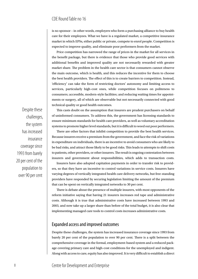is no sponsor – in other words, employers who form a purchasing alliance to buy health care for their employees. What we have is a regulated market, a competitive insurance market in which EPSs, either public or private, compete to enrol people. Competition is expected to improve quality, and eliminate poor performers from the market.

Price competition has narrowed the range of prices in the market for all services in the benefit package, but there is evidence that those who provide good services with additional benefits and improved quality are not necessarily rewarded with greater market share. The problem in the health care sector is that consumers cannot observe the main outcome, which is health, and this reduces the incentive for them to choose the best health providers. The effect of this is to create barriers to competition. Instead, 'efficiency' can take the form of restricting doctors' autonomy and limiting access to services, particularly high-cost ones, while competition focuses on politeness to consumers; accessible, modern-style facilities; and reducing waiting times for appointments or surgery, all of which are observable but not necessarily connected with good technical quality or good health outcomes.

This casts doubt on the assumption that insurers are prudent purchasers on behalf of uninformed consumers. To address this, the government has licensing standards to ensure minimum standards for health care providers, as well as voluntary accreditation systems to promote higher level standards, but it is difficult to weed out poor performers.

There are other factors that inhibit competition to provide the best health services. Because insurers receive a premium from the government, and face the risk of variations in expenditure on individuals, there is an incentive to avoid consumers who are likely to be bad risks, and attract those likely to be good risks. This leads to attempts to shift costs to patients, other providers, or other insurers. The result is ongoing contestation between insurers and government about responsibilities, which adds to transaction costs.

Insurers have also adopted capitation payments in order to transfer risk to providers, so that they have an incentive to control variations in service costs. Insurers have varying degrees of vertically integrated health care delivery networks, but free-standing providers have responded by securing legislation limiting the amount of the premium that can be spent on vertically integrated networks to 30 per cent.

There is debate about the presence of multiple insurers, with most opponents of the reform initiative saying that having 21 insurers increases red tape and administrative costs. Although it is true that administrative costs have increased between 1993 and 2003, and now take up a larger share than before of the total budget, it is also clear that implementing managed care tools to control costs increases administrative costs.

## Expanded access and improved outcomes

Despite these challenges, the system has increased insurance coverage since 1993 from barely 20 per cent of the population to over 90 per cent. There is a split between the comprehensive coverage in the formal, employment-based system and a reduced package covering primary care and high-cost conditions for the unemployed and indigent. Along with access to care, equity has also improved. It is very difficult to establish a direct

Despite these challenges, the system has increased insurance coverage since 1993 from barely 20 per cent of the population to over 90 per cent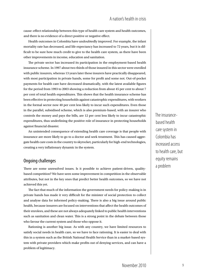cause–effect relationship between this type of health care system and health outcomes, and there is no evidence of a direct positive or negative effect.

Health outcomes in Colombia have undoubtedly improved. For example, the infant mortality rate has decreased, and life expectancy has increased to 72 years, but it is difficult to be sure how much credit to give to the health care system, as there have been other improvements in income, education and sanitation.

The private sector has increased its participation in the employment-based health insurance scheme. In 1997 about two thirds of those insured in this sector were enrolled with public insurers, whereas 13 years later these insurers have practically disappeared, with most participation in private hands, some for profit and some not. Out-of-pocket payments for health care have decreased dramatically, with the latest available figures for the period from 1993 to 2003 showing a reduction from about 45 per cent to about 7 per cent of total health expenditures. This shows that the health insurance scheme has been effective in protecting households against catastrophic expenditures, with workers in the formal sector now 40 per cent less likely to incur such expenditures. Even those in the parallel, subsidised scheme, which is also premium-based, with an insurer who controls the money and pays the bills, are 12 per cent less likely to incur catastrophic expenditures, thus underlining the positive role of insurance in protecting households against financial disaster.

An unintended consequence of extending health care coverage is that people with insurance are more likely to go to a doctor and seek treatment. This has caused aggregate health care costs in the country to skyrocket, particularly for high-end technologies, creating a very inflationary dynamic in the system.

## Ongoing challenges

There are some unresolved issues. Is it possible to achieve patient-driven, qualitybased competition? We have seen some improvement in competition in the observable attributes, but not in the key ones that predict better health outcomes, so we have not achieved this yet.

The fact that much of the information the government needs for policy-making is in private hands has made it very difficult for the minister of social protection to collect and analyse data for informed policy-making. There is also a big issue around public health, because insurers are focused on interventions that affect the health outcomes of their enrolees, and these are not always adequately linked to public health interventions such as sanitation and clean water. This is a strong point in the debate between those who favour the current system and those who oppose it.

Rationing is another big issue. As with any country, we have limited resources to satisfy social needs in health care, so we have to face rationing. It is easier to deal with this in a system such as the British National Health Service than in a market-based system with private providers which make profits out of denying services, and can have a problem of legitimacy.

The insurancebased health care system in Colombia has increased access to health care, but equity remains a problem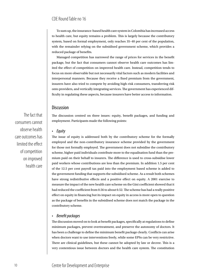To sum up, the insurance-based health care system in Colombia has increased access to health care, but equity remains a problem. This is largely because the contributory system, based on formal employment, only reaches 35–40 per cent of the population, with the remainder relying on the subsidised government scheme, which provides a reduced package of benefits.

Managed competition has narrowed the range of prices for services in the benefit package, but the fact that consumers cannot observe health care outcomes has limited the effect of competition on improved health care. Instead, competition tends to focus on more observable but not necessarily vital factors such as modern facilities and interpersonal manners. Because they receive a fixed premium from the government, insurers have also tried to compete by avoiding high-risk consumers, transferring risk onto providers, and vertically integrating services. The government has experienced difficulty in regulating these aspects, because insurers have better access to information.

## **Discussion**

The discussion centred on three issues: equity, benefit packages, and funding and employment. Participants made the following points:

#### • *Equity*

The issue of equity is addressed both by the contributory scheme for the formally employed and the non-contributory insurance scheme provided by the government for those not formally employed. The government does not subsidise the contributory scheme, higher paid individuals contribute more to the equalisation fund than the premium paid on their behalf to insurers. The difference is used to cross-subsidise lower paid workers whose contributions are less than the premium. In addition 1.5 per cent of the 12.5 per cent payroll tax paid into the employment based scheme is added to the government funding that supports the subsidised scheme. As a result both schemes have strong redistributive effects and a positive effect on equity. A 2001 exercise to measure the impact of the new health care scheme on the Gini coefficient showed that it had reduced the coefficient from 0.56 to about 0.52. The scheme has had a really positive effect on equity in financing but its impact on equity in access is more open to question as the package of benefits in the subsidised scheme does not match the package in the contributory scheme.

#### • *Benefit packages*

The discussion moved on to look at benefit packages, specifically at regulations to define minimum packages, prevent overtreatment, and preserve the autonomy of doctors. It has been a challenge to define the minimum benefit package clearly. Conflicts can arise when doctors want to use interventions freely, while some EPSs can be very restrictive. There are clinical guidelines, but these cannot be adopted by law or decree. This is a very contentious issue between doctors and the health care system. The constitution

The fact that consumers cannot observe health care outcomes has limited the effect of competition on improved health care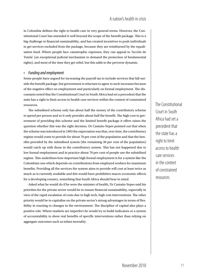in Colombia defines the right to health care in very general terms. However, the Constitutional Court has extended it well beyond the scope of the benefit package. This is a big challenge to financial sustainability, and has created incentives to push individuals to get services excluded from the package, because they are reimbursed by the equalisation fund. Where people face catastrophic expenses, they can appeal to 'Acción de Tutela' (an exceptional judicial mechanism to demand the protection of fundamental rights), and most of the time they get relief, but this adds to the perverse dynamic.

#### • *Funding and employment*

Some people have argued for increasing the payroll tax to include services that fall outside the benefit package, but government is reluctant to agree to such increases because of the negative effect on employment and particularly on formal employment. The discussants noted that the Constitutional Court in South Africa had set a precedent that the state has a right to limit access to health care services within the context of constrained resources.

The subsidised scheme only has about half the money of the contributory scheme to spend per person and so it only provides about half the benefit. The high cost to government of providing this scheme and the limited benefit package it offers raises the question whether this was the right decision. Dr Castaño-Yepes pointed out that when the scheme was introduced in 1993 the expectation was that, over time, the contributory regime would come to provide for about 70 per cent of the population and that the benefits provided by the subsidised system (the remaining 30 per cent of the population) would catch up with those in the contributory system. This has not happened due to low formal employment and in practice about 70 per cent of people use the subsidised regime. This underlines how important high formal employment is for a system like the Colombian one which depends on contributions from employed workers for maximum benefits. Providing all the services the system aims to provide will cost at least twice as much as is currently available and this would have prohibitive macro-economic effects for a developing country, something that South Africa should bear in mind.

Asked what he would do if he were the minister of health, Dr Castaño-Yepes said his priorities for the private sector would be to ensure financial sustainability, especially in view of the rapid escalation of costs due to high tech, high cost interventions. The other priority would be to capitalise on the private sector's strong advantages in terms of flexibility in reacting to changes in the environment. The discipline of capital also plays a positive role. Where markets are imperfect he would try to build indicators or a system of accountability to show real benefits of specific interventions rather than relying on aggregate outcomes such as infant mortality.

The Constitutional Court in South Africa had set a precedent that the state has a right to limit access to health care services in the context of constrained resources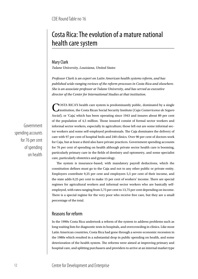## Costa Rica: The evolution of a mature national health care system

### Mary Clark

*Tulane University, Louisiana, United States*

*Professor Clark is an expert on Latin American health systems reform, and has published wide-ranging reviews of the reform processes in Costa Rica and elsewhere. She is an associate professor at Tulane University, and has served as executive director of the Center for International Studies at that institution.*

**NOSTA RICA'S health care system is predominantly public, dominated by a single** institution, the Costa Rican Social Security Institute (*Caja Costarricense de Seguro Social*), or 'Caja', which has been operating since 1943 and insures about 89 per cent of the population of 4,5 million. Those insured consist of formal sector workers and informal sector workers, especially in agriculture; those left out are some informal sector workers and some self-employed professionals. The Caja dominates the delivery of care with 97 per cent of hospital beds and 240 clinics. Over 90 per cent of doctors work for Caja, but at least a third also have private practices. Government spending accounts for 76 per cent of spending on health although private sector health care is booming, particularly primary care in the fields of dentistry and optometry, and some specialist care, particularly obstetrics and gynaecology.

The system is insurance-based, with mandatory payroll deductions, which the constitution defines must go to the Caja and not to any other public or private entity. Employers contribute 9,25 per cent and employees 5,5 per cent of their income, and the state adds 0,25 per cent to make 15 per cent of workers' income. There are special regimes for agricultural workers and informal sector workers who are basically selfemployed, with rates ranging from 5,75 per cent to 13,75 per cent depending on income. There is a special regime for the very poor who receive free care, but they are a small percentage of the total.

## Reasons for reform

In the 1990s Costa Rica undertook a reform of the system to address problems such as long waiting lists for diagnostic tests in hospitals, and overcrowding in clinics. Like most Latin American countries, Costa Rica had gone through a severe economic recession in the 1980s which resulted in a substantial drop in public spending on health, and some deterioration of the health system. The reforms were aimed at improving primary and hospital care, and splitting purchasers and providers to arrive at an internal market type

Government spending accounts for 76 per cent of spending on health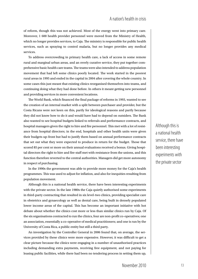of reform, though this was not achieved. Most of the energy went into primary care. Moreover, 1 600 health provider personnel were moved from the Ministry of Health, which no longer provides services, to Caja. The ministry is responsible for public health services, such as spraying to control malaria, but no longer provides any medical services.

To address overcrowding in primary health care, a lack of access in some remote rural and marginal urban areas, and an overly curative service, they put together comprehensive basic health care teams. The teams were also intended to address population movement that had left some clinics poorly located. The work started in the poorest rural areas in 1995 and ended in the capital in 2004 after covering the whole country. In some cases this just meant that existing clinics reorganised themselves into teams, and continuing doing what they had done before. In others it meant getting new personnel and providing services in more convenient locations.

The World Bank, which financed the final package of reforms in 1993, wanted to see the creation of an internal market with a split between purchaser and provider, but the Costa Ricans were not keen on this, partly for ideological reasons and partly because they did not know how to do it and would have had to depend on outsiders. The Bank also wanted to see hospital budgets linked to referrals and performance contracts, and hospital managers given the right to hire and fire personnel. This met with a lot of resistance from hospital directors; in the end, hospitals and other health units were given their budgets up-front but had to justify them based on annual performance contracts that set out what they were expected to produce in return for the budget. Those that scored 85 per cent or more on their annual evaluations received a bonus. Giving hospital directors the right to hire and fire staff met with resistance from the unions, and this function therefore reverted to the central authorities. Managers did get more autonomy in respect of purchasing.

In the 1990s the government was able to provide more money for the Caja's health programmes. This was used to adjust for inflation, and also for inequities resulting from population movement.

Although this is a national health service, there have been interesting experiments with the private sector. In the late 1980s the Caja quietly authorised some experiments in third-party contracting that resulted in six level-two clinics, providing specialist care in obstetrics and gynaecology as well as dental care, being built in densely populated lower income areas of the capital. This has become an important initiative with hot debate about whether the clinics cost more or less than similar clinics run by Caja. Of the six organisations contracted to run the clinics, four are non-profit co-operatives; one an association, essentially a co-operative of medical practitioners; and one is run by the University of Costa Rica, a public entity but still a third party.

An investigation by the Controller General in 2006 found that, on average, the services provided by these clinics were more expensive. However, it was difficult to get a clear picture because the clinics were engaging in a number of unauthorised practices including demanding extra payments, receiving free equipment, and not paying for leasing public facilities, while there had been no tendering process in setting them up,

Although this is a national health service, there have been interesting experiments with the private sector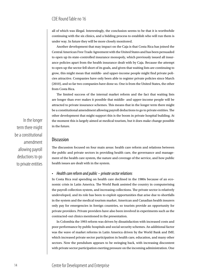all of which was illegal. Interestingly, the conclusion seems to be that it is worthwhile continuing with the six clinics, and a bidding process to establish who will run them is under way. In future they will be more closely monitored.

Another development that may impact on the Caja is that Costa Rica has joined the Central American Free Trade Agreement with the United States and has been persuaded to open up its state-controlled insurance monopoly, which previously issued all insurance policies apart from the health insurance dealt with by Caja. Because the attempt to open up the sector fell short of its goals, and given that waiting lists are continuing to grow, this might mean that middle- and upper-income people might find private policies attractive. Companies have only been able to register private policies since March (2010), and so far two companies have done so. One is from the United States, the other from Costa Rica.

The limited success of the internal market reform and the fact that waiting lists are longer than ever makes it possible that middle- and upper-income people will be attracted to private insurance schemes. This means that in the longer term there might be a constitutional amendment allowing payroll deductions to go to private entities. The other development that might support this is the boom in private hospital building. At the moment this is largely aimed at medical tourism, but it does make change possible in the future.

#### **Discussion**

The discussion focused on four main areas: health care reform and relations between the public and private sectors in providing health care, the governance and management of the health care system, the nature and coverage of the service, and how public health issues are dealt with in the system.

#### • *Health care reform and public – private sector relations*

In Costa Rica real spending on health care declined in the 1980s because of an economic crisis in Latin America. The World Bank assisted the country in computerising the payroll collection system, and increasing collections. The private sector is relatively undeveloped, and its role has been to exploit opportunities that arise due to shortfalls in the system and the medical tourism market. American and Canadian health insurers only pay for emergencies in foreign countries, so tourists provide an opportunity for private providers. Private providers have also been involved in experiments such as the contracted-out clinics mentioned in the presentation.

In Colombia the 1993 reform was driven by dissatisfaction with increased costs and poor performance by public hospitals and social security schemes. An additional factor was the wave of market reforms in Latin America driven by the World Bank and IMF, which increased private sector participation in health care, education, and many other sectors. Now the pendulum appears to be swinging back, with increasing discontent with private sector participation exerting pressure on the incoming administration. One

In the longer term there might be a constitutional amendment allowing payroll deductions to go to private entities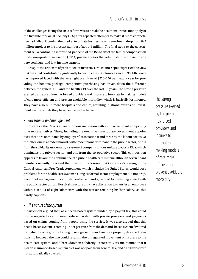of the challenges facing the 1993 reform was to break the health insurance monopoly of the Institute for Social Security (ISS) after repeated attempts to make it more competitive had failed. Opening the market to private insurers saw its enrolment drop from 8–9 million enrolees to the present number of about 3 million. The final step saw the government sell a controlling interest, 51 per cent, of the ISS to six of the family compensation funds, non-profit organisation (NPO) private entities that administer the cross-subsidy between high- and low-income earners.

Despite the criticism of private sector insurers, Dr Castaño-Yepes expressed the view that they had contributed significantly to health care in Colombia since 1993. Efficiency has improved faced with the very tight premium of \$220–250 per head a year for providing the benefits package; competitive purchasing has driven down the difference between the general CPI and the health CPI over the last 15 years. The strong pressure exerted by the premium has forced providers and insurers to innovate in making models of care more efficient and prevent avoidable morbidity, which is basically lost money. They have also built more hospitals and clinics, resulting in strong returns on investment via the rentals they have been able to charge.

#### • *Governance and management*

In Costa Rica the Caja is an autonomous institution with a tripartite board comprising nine representatives. Three, including the executive director, are government appointees; three are nominated by employers' associations; and three by the labour sector. Of the latter, one is a trade unionist, with trade unions dominant in the public sector; one is from the solidarity movement, a system of company unions unique to Costa Rica, which dominates the private sector; and one from the co-operative sector. This composition appears to favour the continuance of a public health care system, although seven board members recently indicated that they did not foresee that Costa Rica's signing of the Central American Free Trade Agreement, which includes the United States, would pose problems for the health care system as long as formal sector employment did not drop. Personnel management is entirely centralised and governed by rules negotiated with the public sector union. Hospital directors only have discretion to transfer an employee within a radius of eight kilometres with the worker retaining his/her salary, so this hardly happens.

#### The nature of the system

A participant argued that, as a needs-based system funded by a payroll tax, this could not be regarded as an insurance-based system with private providers and payments based on claims coming from people using the service. It was also argued that this needs-based system is coming under pressure from the demand-based system favoured by higher income groups. Failing to recognise this and ensure a properly designed relationship between the two could result in the unregulated movement of insurers to the health care system, and a breakdown in solidarity. Professor Clark maintained that it *was* an insurance-based system as it was not paid from general tax, and all citizens were not automatically covered.

The strong pressure exerted by the premium has forced providers and insurers to innovate in making models of care more efficient and prevent avoidable morbidity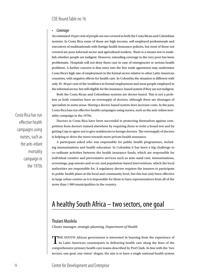#### • *Coverage*

An estimated 10 per cent of people are not covered in both the Costa Rican and Colombian systems. In Costa Rica some of those are high-income, self-employed professionals and executives of multinationals with foreign health insurance policies, but most of those not covered are poor informal sector and agricultural workers. There is a means test to establish whether people are indigent. However, extending coverage to the very poor has been problematic. Hospitals will not deny them care in case of emergencies or serious health problems. A further concern is that entry into the free trade agreement may undermine Costa Rica's high rate of employment in the formal sector relative to other Latin American countries, with negative effects for health care. In Colombia the situation is different with only 35–40 per cent of the workforce in formal employment and most people employed in the informal sector, but still eligible for the insurance-based system if they are not indigent.

Both the Costa Rican and Colombian systems are doctor-based. This is not a problem as both countries have an oversupply of doctors, although there are shortages of specialists in some areas. Having a doctor-based system does increase costs. In the past, Costa Rica has run effective health campaigns using nurses, such as the anti-infant mortality campaign in the 1970s.

Doctors in Costa Rica have been successful in protecting themselves against competition from doctors trained elsewhere by requiring them to write a board test and by getting Caja to agree not to give residencies to foreign doctors. The oversupply of doctors is helping to drive the move towards more private health insurance.

A participant asked who was responsible for public health programmes, including immunisations and health education. In Colombia it has been a big challenge to co-ordinate activities between the health insurance funds, which are responsible for individual curative and preventative services such as ante-natal care, immunisations, screenings, pap smears and so on; and population-based interventions, which the local authorities are responsible for. A regulatory decree requires the insurers to participate in public health plans at the local and community level, but this has only been effective in large urban centres as it is impossible for them to have representatives from all of the more than 1 000 municipalities in the country.

## A healthy South Africa – two sectors, one goal

### Thulani Masilela

*Cluster manager, strategic planning, Department of Health*

THE SOUTH African government is interested in learning from the experience of  $\mathbf 1$  its Latin American counterparts in delivering health care along the lines of the comprehensive primary health care teams described by Prof Clark. In line with the 'two sectors, one goal, one vision' slogan, the aim is to have a single national health system

effective health campaigns using nurses, such as the anti-infant mortality campaign in the 1970s

Costa Rica has run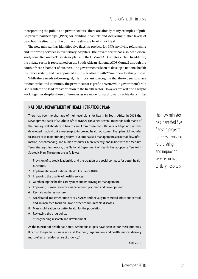incorporating the public and private sectors. There are already many examples of public–private partnerships (PPPs) for building hospitals and delivering higher levels of care, but the situation at the primary health care level is not ideal.

The new minister has identified five flagship projects for PPPs involving refurbishing and improving services in five tertiary hospitals. The private sector has also been extensively consulted on the TB strategic plan and the HIV and AIDS strategic plan. In addition, the private sector is represented on the South African National AIDS Council through the South African Chamber of Business. The government is keen to develop a national health insurance system, and has appointed a ministerial team with 27 members for this purpose.

While there needs to be one goal, it is important to recognise that the two sectors have different roles and identities. The private sector is profit-driven, while government's role is to regulate and lead transformation in the health sector. However, we will find a way to work together despite these differences as we move forward towards achieving similar

## **National Department of Health Strategic Plan**

There has been no shortage of high-level plans for health in South Africa. In 2008 the Development Bank of Southern Africa (DBSA) convened several meetings with many of the primary stakeholders in health care. From these consultations, a 10-point plan was developed that laid out a 'roadmap' to improved health outcomes. That plan did not refer to an NHI or to major funding reform, but emphasised management, accountability, information, benchmarking, and human resources. More recently, and in line with the Medium Term Strategic Framework, the National Department of Health has adopted a Ten Point Strategic Plan. The points are as follows:

- 1. Provision of strategic leadership and the creation of a social compact for better health outcomes.
- 2. Implementation of National Health Insurance (NHI).
- 3. Improving the quality of health services.
- 4. Overhauling the health care system and improving its management.
- 5. Improving human resources management, planning and development.
- 6. Revitalising infrastructure.
- 7. Accelerated implementation of HIV & AIDS and sexually transmitted infections control, and an increased focus on TB and other communicable diseases.
- 8. Mass mobilisation for better health for the population.
- 9. Reviewing the drug policy.
- 10. Strengthening research and development.

As the minister of health has noted, 'Ambitious targets have been set for these priorities. It can no longer be business as usual. Planning, organisation, and health services delivery must reflect an added sense of urgency.'6

flagship projects for PPPs involving refurbishing and improving services in five tertiary hospitals

The new minister

has identified five

CDE 2010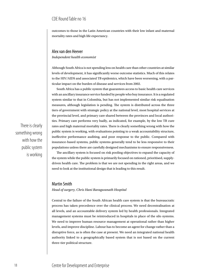outcomes to those in the Latin American countries with their low infant and maternal mortality rates and high life expectancy.

#### Alex van den Heever *Independent health economist*

Although South Africa is not spending less on health care than other countries at similar levels of development, it has significantly worse outcome statistics. Much of this relates to the HIV/AIDS and associated TB epidemics, which have been worsening, with a particular impact on the burden of disease and services from 2002.

South Africa has a public system that guarantees access to basic health care services with an ancillary insurance service funded by people who buy insurance. It is a regulated system similar to that in Colombia, but has not implemented similar risk equalisation measures, although legislation is pending. The system is distributed across the three tiers of government with strategic policy at the national level, most hospital services at the provincial level, and primary care shared between the provinces and local authorities. Primary care performs very badly, as indicated, for example, by the low TB cure rates and high maternal mortality rates. There is clearly something wrong with how the public system is working, with evaluations pointing to a weak accountability structure, ineffective performance auditing, and poor response to the public. Compared with insurance-based systems, public systems generally tend to be less responsive to their populations unless there are carefully designed mechanisms to ensure responsiveness.

The ancillary system is focused on risk pooling objectives to expand the capacity of the system while the public system is primarily focused on rationed, prioritised, supplydriven health care. The problem is that we are not spending in the right areas, and we need to look at the institutional design that is leading to this result.

#### Martin Smith

*Head of surgery, Chris Hani Baragwanath Hospital*

Central to the failure of the South African health care system is that the bureaucratic process has taken precedence over the clinical process. We need decentralisation at all levels, and an accountable delivery system led by health professionals. Integrated management systems must be reintroduced in hospitals in place of the silo systems. We need to improve human resource management at operational rather than higher levels, and improve discipline. Labour has to become an agent for change rather than a disruptive force, as is often the case at present. We need an integrated national health authority linked to a geographically based system that is not based on the current three-tier political structure.

There is clearly something wrong with how the public system is working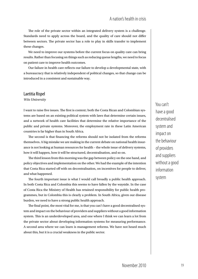## A nation's health in crisis

The role of the private sector within an integrated delivery system is a challenge. Standards need to apply across the board, and the quality of care should not differ between sectors. The private sector has a role to play in skills transfer to implement these changes.

We need to improve our systems before the current focus on quality care can bring results. Rather than focusing on things such as reducing queue lengths, we need to focus on patient care to improve health outcomes.

Our failure in health care reflects our failure to develop a developmental state, with a bureaucracy that is relatively independent of political changes, so that change can be introduced in a consistent and sustainable way.

#### Laetitia Rispel

#### *Wits University*

I want to raise five issues. The first is context; both the Costa Rican and Colombian systems are based on an existing political system with laws that determine certain issues, and a network of health care facilities that determine the relative importance of the public and private systems. Moreover, the employment rate in these Latin American countries is far higher than in South Africa.

The second is that financing the reforms should not be isolated from the reforms themselves. A big mistake we are making in the current debate on national health insurance is not looking at human resources for health – the whole issue of delivery systems, how it will happen, how it will be structured, decentralisation, and so on.

The third lesson from this morning was the gap between policy on the one hand, and policy objectives and implementation on the other. We had the example of the intention that Costa Rica started off with on decentralisation, on incentives for people to deliver, and what happened.

The fourth important issue is what I would call broadly a public health approach. In both Costa Rica and Colombia this seems to have fallen by the wayside. In the case of Costa Rica the Ministry of Health has retained responsibility for public health programmes, but in Colombia this is clearly a problem. In South Africa, given our disease burden, we need to have a strong public health approach.

The final point, the most vital for me, is that you can't have a good decentralised system and impact on the behaviour of providers and suppliers without a good information system. This is an underdeveloped area, and one where I think we can learn a lot from the private sector about developing information systems for measuring performance. A second area where we can learn is management reforms. We have not heard much about this, but it is a crucial weakness in the public sector.

You can't have a good decentralised system and impact on the behaviour of providers and suppliers without a good information system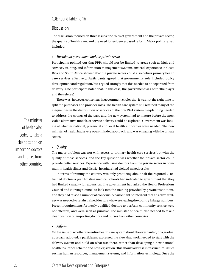### **Discussion**

The discussion focused on three issues: the roles of government and the private sector, the quality of health care, and the need for evidence-based reform. Major points raised included:

#### The roles of government and the private sector

Participants pointed out that PPPs should not be limited to areas such as high-end services, training, and information management systems; instead, experience in Costa Rica and South Africa showed that the private sector could also deliver primary health care services effectively. Participants agreed that government's role included policy development and regulation, but argued strongly that this needed to be separated from delivery. One participant noted that, in this case, the government was both 'the player and the referee'.

There was, however, consensus in government circles that it was not the right time to split the purchaser and provider roles. The health care system still retained many of the inequalities in the distribution of services of the pre-1994 system. Re-planning needed to address the wrongs of the past, and the new system had to mature before the most viable alternative models of service delivery could be explored. Government was looking at whether national, provincial and local health authorities were needed. The new minister of health had a very open-minded approach, and was engaging with the private sector.

#### • *Quality*

The major problem was not with access to primary health care services but with the quality of those services, and the key question was whether the private sector could provide better services. Experience with using doctors from the private sector in community health clinics and district hospitals had yielded mixed results.

In terms of training the country was only producing about half the required 2 400 trained doctors a year. Existing medical schools had indicated to government that they had limited capacity for expansion. The government had asked the Health Professions Council and Nursing Council to look into the training provided by private institutions, and they had raised a number of concerns. A participant pointed out that an active strategy was needed to retain trained doctors who were leaving the country in large numbers. Present requirements for newly qualified doctors to perform community service were not effective, and were seen as punitive. The minister of health also needed to take a clear position on importing doctors and nurses from other countries.

#### • *Reform*

On the issue of whether the entire health care system should be overhauled, or a gradual approach adopted, a participant expressed the view that work needed to start with the delivery system and build on what was there, rather than developing a new national health insurance scheme and new legislation. This should address infrastructural issues such as human resources, management systems, and information technology. Once the

The minister of health also needed to take a clear position on importing doctors and nurses from other countries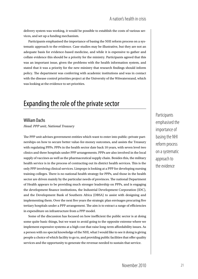delivery system was working, it would be possible to establish the costs of various services, and set up a funding mechanism.

Participants emphasised the importance of basing the NHI reform process on a systematic approach to the evidence. Case studies may be illustrative, but they are not an adequate basis for evidence-based medicine, and while it is expensive to gather and collate evidence this should be a priority for the ministry. Participants agreed that this was an important issue, given the problems with the health information system, and stated that it was a priority for the new ministry that research findings should inform policy. The department was conferring with academic institutions and was in contact with the disease control priorities project at the University of the Witwatersrand, which was looking at the evidence to set priorities.

## Expanding the role of the private sector

#### William Dachs

*Head: PPP unit, National Treasury*

The PPP unit advises government entities which want to enter into public–private partnerships on how to secure better value-for-money outcomes, and assists the Treasury with regulating PPPs. PPPs in the health sector date back 10 years, with seven level two clinics and three hospitals under PPP arrangements. PPPs are also involved in the local supply of vaccines as well as the pharmaceutical supply chain. Besides this, the military health service is in the process of contracting out its district health services. This is the only PPP involving clinical services. Limpopo is looking at a PPP for developing nursing training colleges. There is no national health strategy for PPPs, and those in the health sector are driven mainly by the particular needs of provinces. The national Department of Health appears to be providing much stronger leadership on PPPs, and is engaging the development finance institutions, the Industrial Development Corporation (IDC), and the Development Bank of Southern Africa (DBSA) to assist with designing and implementing them. Over the next five years the strategic plan envisages procuring five tertiary hospitals under a PPP arrangement. The aim is to extract a range of efficiencies in expenditure on infrastructure from a PPP model.

Some of the discussion has focused on how inefficient the public sector is at doing some quite basic things, but we want to avoid going to the opposite extreme where we implement expensive systems at a high cost that raise long-term affordability issues. As a person with no special knowledge of the NHI, what I would like to see it doing is giving people a choice of which facility to go to, and providing public facilities that offer quality services and the opportunity to generate the revenue needed to sustain that service.

Participants emphasised the importance of basing the NHI reform process on a systematic approach to the evidence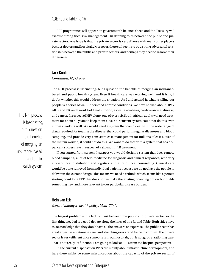PPP programmes will appear on government's balance sheet, and the Treasury will exercise strong fiscal risk management. On defining roles between the public and private sectors, one issue is that the private sector is very diverse with many other players besides doctors and hospitals. Moreover, there still seems to be a strong adversarial relationship between the public and private sectors, and perhaps they need to resolve their differences.

## Jack Koolen *Consultant, J&J Group*

The NHI process is fascinating, but I question the benefits of merging an insurancebased and public health system. Even if health care was working well, and it isn't, I doubt whether this would address the situation. As I understand it, what is killing our people is a series of well-understood chronic conditions. We have spoken about HIV / AIDS and TB, and I would add malnutrition, as well as diabetes, cardio-vascular disease, and cancer. In respect of HIV alone, one of every six South African adults will need treatment for about 40 years to keep them alive. Our current system could not do this even if it was working well. We would need a system that could deal with the wide range of drugs required for treating the disease; that could perform regular diagnoses and blood sampling, and provide very consistent case management for millions of cases. Even if the system worked, it could not do this. We want to do that with a system that has a 50 per cent success rate in respect of a six-month TB treatment.

If you started from scratch, I suspect you would design a system that does remote blood sampling, a lot of tele-medicine for diagnosis and clinical responses, with very efficient local distribution and logistics, and a lot of local counselling. Clinical care would be quite removed from individual patients because we do not have the people to deliver in the current design. This means we need a rethink, which seems like a perfect starting point for a PPP that does not just take the existing financing option but builds something new and more relevant to our particular disease burden.

#### Hein van Eck

*General manager: health policy, Medi-Clinic*

The biggest problem is the lack of trust between the public and private sector, so the first thing needed is a good debate along the lines of this Round Table. Both sides have to acknowledge that they don't have all the answers or expertise. The public sector has great expertise at rationing care, and stretching every rand to the maximum. The private sector is very efficient once someone is in our hospitals, but is not good at rationing care. That is not really its function. I am going to look at PPPs from the hospital perspective.

In the current dispensation PPPs are mainly about infrastructure development, and here there might be some misconception about the capacity of the private sector. If

The NHI process is fascinating, but I question the benefits of merging an insurance-based and public health system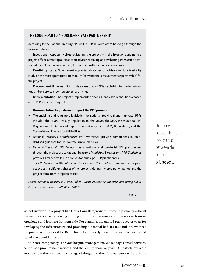## **The long road to a public–private partnership**

According to the National Treasury PPP unit, a PPP in South Africa has to go through the following stages:

**Inception:** Inception involves registering the project with the Treasury, appointing a project officer, attracting a transaction advisor, receiving and evaluating transaction advisor bids, and finalising and signing the contract with the transaction advisor.

**Feasibility study**: Government appoints private sector advisors to do a feasibility study on the most appropriate mechanism (conventional procurement or partnership) for the project.

**Procurement**: If the feasibility study shows that a PPP is viable bids for the infrastructure and/or service provision project are invited.

**Implementation**: The project is implemented once a suitable bidder has been chosen and a PPP agreement signed.

#### **Documentation to guide and support the PPP process**

- The enabling and regulatory legislation for national, provincial and municipal PPPs includes: the PFMA, Treasury Regulation 16, the MFMA, the MSA, the Municipal PPP Regulations, the Municipal Supply Chain Management (SCM) Regulations, and the Code of Good Practice for BEE in PPPs.
- National Treasury's *Standardised PPP Provisions* provide comprehensive, standardised guidance for PPP contracts in South Africa.
- National Treasury's *PPP Manual* leads national and provincial PPP practitioners through the project cycle. National Treasury's *Municipal Services and PPP Guidelines* provides similar detailed instruction for municipal PPP practitioners.
- The *PPP Manual* and the *Municipal Services and PPP Guidelines* summarise the project cycle: the different phases of the projects, during the preparation period and the project term, from inception to exit.

*Source: National Treasury PPP Unit, Public–Private Partnership Manual; Introducing Public Private Partnerships in South Africa (2007).*

CDE 2010

we got involved in a project like Chris Hani Baragwanath, it would probably exhaust our technical capacity, leaving nothing for our own requirements. But we can transfer knowledge and learning from our side. For example, the quoted public sector costs for developing the infrastructure and providing a hospital bed are R3,8 million, whereas the private sector does it for R2 million a bed. Clearly there are some efficiencies and learning we could transfer.

Our core competency is private hospital management. We manage clinical services, centralised procurement services, and the supply chain very well. Our stock levels are kept low, but there is never a shortage of drugs, and therefore our stock write-offs are The biggest problem is the lack of trust between the public and private sector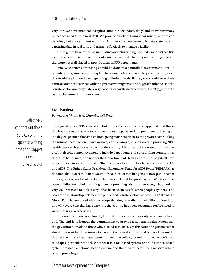very low. We have financial discipline, monitor occupancy daily, and know how many nurses we need for the next shift. We provide excellent training for nurses, and we can definitely help government with this. Another core competency is data systems, and capturing data in real time and using it effectively to manage a facility.

Although we have expertise in building and refurbishing hospitals, we don't see this as our core competency. We also outsource services like laundry and catering, and are therefore not well placed to provide them in PPP agreements.

Finally, selective contracting should be done in a controlled environment. I would not advocate giving people complete freedom of choice to use the private sector, since this would lead to inefficient spending of limited funds. Rather, you should selectively contract out those services with the greatest waiting times and biggest bottlenecks to the private sector, and negotiate a very good price for those procedures, thereby getting the best social return for money spent.

## Fazel Randera

#### *Former health advisor, Chamber of Mines*

The legislation for PPPs is in place, but in practice very little has happened, and this is due both to the private sector not coming to the party and the public sector having an ideological position that stops it from giving major contracts to the private sector. Taking the mining sector, where I have worked, as an example, it is involved in providing NPO health care services in many parts of the country. Historically these were only for workers, but despite some movement to include dependents and surrounding communities this is not happening, and neither the Department of Health nor the industry itself have made a move to make more of it. The one area where PPP has been successful is HIV and AIDS. The United States President's Emergency Fund for AIDS Relief (PEPFAR) has donated about \$850 million to South Africa. Most of that has gone to non-public sector entities, but the work that has been done has included the public sector. Whether it has been building new clinics, staffing them, or providing laboratory services, it has worked very well. We need to look at why it has been so successful when people say there is no basis for a relationship between the public and private sectors; at how PEPFAR and the Global Fund have worked with the groups that they have distributed billions of rands to; and why every cent that has come into the country has been accounted for. We need to write that up as a case study.

If I were the minister of health, I would support PPPs, but only as a means to an end. The end is to honour the commitment to provide a national health system that the government made to those who elected it in 1994. On this issue the private sector should not wait for the minister to ask what we can do; we should be knocking on the door all the time. What I have learnt from our two colleagues today is that we don't have to adopt a particular model. Whether it is a tax-based system or an insurance-based system, we need a national health system, and the private sector has a massive role to play in providing it.

Selectively contract out those services with the greatest waiting times and biggest bottlenecks to the private sector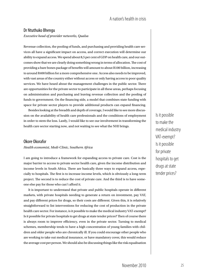### A nation's health in crisis

#### Dr Ntuthuko Bhengu *Executive head of provider networks, Qualsa*

Revenue collection, the pooling of funds, and purchasing and providing health care services all have a significant impact on access, and correct execution will determine our ability to expand access. We spend about 8,5 per cent of GDP on health care, and our outcomes show that we are clearly doing something wrong in terms of allocation. The cost of providing a bare bones package of benefits will amount to about R100 billion, increasing to around R400 billion for a more comprehensive one. Access also needs to be improved, with vast areas of the country either without access or only having access to poor quality services. We have heard about the management challenges in the public sector. There are opportunities for the private sector to participate in all these areas, perhaps focusing on administration and purchasing and leaving revenue collection and the pooling of funds to government. On the financing side, a model that combines state funding with space for private sector players to provide additional products can expand financing.

Besides looking at the breadth and depth of coverage, I would like to see more discussion on the availability of health care professionals and the conditions of employment in order to stem the loss. Lastly, I would like to see our involvement in transforming the health care sector starting now, and not waiting to see what the NHI brings.

#### Okore Okorafor

#### *Health economist, Medi-Clinic, Southern Africa*

I am going to introduce a framework for expanding access to private care. Cost is the major barrier to access to private sector health care, given the income distribution and income levels in South Africa. There are basically three ways to expand access, especially to hospitals. The first is to increase income levels, which is obviously a long-term project. The second is to reduce the cost of private care. And the third is to have someone else pay for those who can't afford it.

It is important to understand that private and public hospitals operate in different markets, with private hospitals needing to generate a return on investment, pay VAT, and pay different prices for drugs, so their costs are different. Given this, it is relatively straightforward to list interventions for reducing the cost of production in the private health care sector. For instance, is it possible to make the medical industry VAT-exempt? Is it possible for private hospitals to get drugs at state tender prices? Then of course there is always room to improve efficiency, even in the private sector. Turning to medical schemes, membership tends to have a high concentration of young families with children and older people who are chronically ill. If you could encourage other people who are working to take out medical insurance, or have mandatory cover, this would reduce the average cost per person. We should also be discussing things like the risk equalisation

Is it possible to make the medical industry VAT-exempt? Is it possible for private hospitals to get drugs at state tender prices?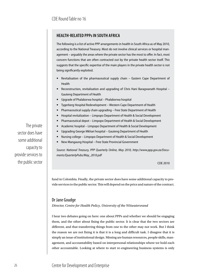## **health-related PPPs in South Africa**

The following is a list of active PPP arrangements in health in South Africa as of May 2010, according to the National Treasury. Most do not involve clinical services or hospital management – arguably the areas where the private sector has the most to offer. In fact, most concern functions that are often contracted out by the private health sector itself. This suggests that the specific expertise of the main players in the private health sector is not being significantly exploited.

- Revitalisation of the pharmaceutical supply chain Eastern Cape Department of Health
- Reconstruction, revitalisation and upgrading of Chris Hani Baragwanath Hospital Gauteng Department of Health
- Upgrade of Phalaborwa hospital Phalaborwa hospital
- Tygerberg Hospital Redevelopment Western Cape Department of Health
- Pharmaceutical supply chain upgrading Free State Department of Health
- Hospital revitalization Limpopo Department of Health & Social Development
- Pharmaceutical depot Limpopo Department of Health & Social Development
- Academic hospital Limpopo Department of Health & Social Development
- Upgrading George Mkhari hospital Gauteng Department of Health
- Nursing college Limpopo Department of Health & Social Development
- New Mangaung Hospital Free State Provincial Government

*Source: National Treasury, PPP Quarterly Online, May 2010, http://www.ppp.gov.za/Documents/QuarterlyPubs/May\_2010.pdf*

CDE 2010

fund in Colombia. Finally, the private sector does have some additional capacity to provide services to the public sector. This will depend on the price and nature of the contract.

### Dr Jane Goudge

*Director, Centre for Health Policy, University of the Witwatersrand*

I hear two debates going on here: one about PPPs and whether we should be engaging them, and the other about fixing the public sector. It is clear that the two sectors are different, and that transferring things from one to the other may not work. But I think the reason we are not fixing it is that it is a long and difficult task. I disagree that it is simply an issue of institutional design. Missing are human resources, people skills, management, and accountability based on interpersonal relationships where we hold each other accountable. Looking at where to start re-engineering business systems is only

The private sector does have some additional capacity to provide services to the public sector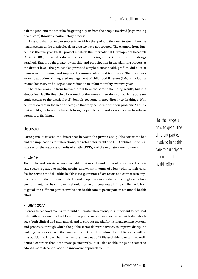half the problem; the other half is getting buy-in from the people involved [in providing health care] through a participatory process.

I want to draw on two examples from Africa that point to the need to strengthen the health system at the district level, an area we have not covered. The example from Tanzania is the five-year TEHIP project in which the International Development Research Centre (IDRC) provided a dollar per head of funding at district level with no strings attached. That brought greater ownership and participation in the planning process at the district level. The project also provided simple district health profiles, did a lot of management training, and improved communication and team work. The result was an early adoption of integrated management of childhood illnesses (IMCI), including treated bed nets, and a 40 per cent reduction in infant mortality over five years.

The other example from Kenya did not have the same astounding results, but it is about direct facility financing. How much of the money filters down through the bureaucratic system to the district level? Schools get some money directly to fix things. Why can't we do that in the health sector, so that they can deal with their problems? I think that would go a long way towards bringing people on board as opposed to top-down attempts to fix things.

### **Discussion**

Participants discussed the differences between the private and public sector models and the implications for interactions, the roles of for-profit and NPO entities in the private sector, the nature and limits of existing PPPs, and the regulatory environment.

#### • *Models*

The public and private sectors have different models and different objectives. The private sector is geared to making profits, and works in terms of a low-volume, high-care, fee-for-service model. Public health is the guarantor of last resort and cannot turn anyone away, whether they are funded or not. It operates in a high-volume, high-pathology environment, and its complexity should not be underestimated. The challenge is how to get all the different parties involved in health care to participate in a national health effort.

#### • *Interactions*

In order to get good results from public–private interactions, it is important to deal not only with infrastructure backlogs in the public sector but also to deal with staff shortages, both clinical and managerial, and to sort out the platforms, management systems and processes through which the public sector delivers services, to improve discipline and to get a better idea of the costs involved. Once this is done the public sector will be in a position to know what it wants to achieve out of PPPs and able to enter into welldefined contracts that it can manage effectively. It will also enable the public sector to adopt a more decentralised and innovative approach to PPPs.

The challenge is how to get all the different parties involved in health care to participate in a national health effort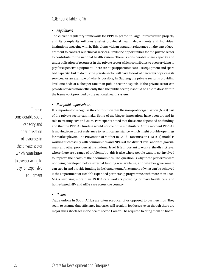#### • *Regulations*

The current regulatory framework for PPPs is geared to large infrastructure projects, and its complexity militates against provincial health departments and individual institutions engaging with it. This, along with an apparent reluctance on the part of government to contract out clinical services, limits the opportunities for the private sector to contribute to the national health system. There is considerable spare capacity and underutilisation of resources in the private sector which contributes to overservicing to pay for expensive equipment. There are huge opportunities to use equipment and spare bed capacity, but to do this the private sector will have to look at new ways of pricing its services. As an example of what is possible, in Gauteng the private sector is providing level one beds at a cheaper rate than public sector hospitals. If the private sector can provide services more efficiently than the public sector, it should be able to do so within the framework provided by the national health system.

#### • *Non-profit organisations*

There is considerable spare capacity and underutilisation of resources in the private sector which contributes to overservicing to pay for expensive equipment

It is important to recognise the contribution that the non-profit organisation (NPO) part of the private sector can make. Some of the biggest innovations have been around its role in treating HIV and AIDS. Participants noted that the sector depended on funding, and that the PEPFAR funding would not continue indefinitely. At the moment PEPFAR is moving from direct assistance to technical assistance, which might provide openings for market players. The Prevention of Mother to Child Transmission (PMTCT) model is working successfully with communities and NPOs at the district level and with government and other providers at the national level. It is important to work at the district level where there are a range of problems, but this is also where people want to get involved to improve the health of their communities. The question is why these platforms were not being developed before external funding was available, and whether government can step in and provide funding in the longer term. An example of what can be achieved is the Department of Health's expanded partnership programme, with more than 1 000 NPOs involving more than 19 000 care workers providing primary health care and home-based HIV and AIDS care across the country.

#### • *Unions*

Trade unions in South Africa are often sceptical of or opposed to partnerships. They seem to assume that efficiency increases will result in job losses, even though there are major skills shortages in the health sector. Care will be required to bring them on board.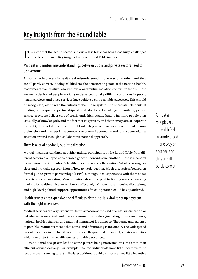## Key insights from the Round Table

 $\prod$  IS clear that the health sector is in crisis. It is less clear how the should be addressed. Key insights from the Round Table include: T IS clear that the health sector is in crisis. It is less clear how these huge challenges

## Mistrust and mutual misunderstandings between public and private sectors need to be overcome.

Almost all role players in health feel misunderstood in one way or another, and they are all partly correct. Ideological blinkers, the deteriorating state of the nation's health, resentments over relative resource levels, and mutual isolation contribute to this. There are many dedicated people working under exceptionally difficult conditions in public health services, and those services have achieved some notable successes. This should be recognised, along with the failings of the public system. The successful elements of existing public–private partnerships should also be acknowledged. Similarly, private service providers deliver care of consistently high quality (and to far more people than is usually acknowledged), and the fact that it is private, and that some parts of it operate for profit, does not detract from this. All role players need to overcome mutual incomprehension and mistrust if the country is to play to its strengths and turn a deteroriating situation around through a collaborative national approach.

### There is a lot of goodwill, but little direction.

Mutual misunderstandings notwithstanding, participants in the Round Table from different sectors displayed considerable goodwill towards one another. There is a general recognition that South Africa's health crisis demands collaboration. What is lacking is a clear and mutually agreed vision of how to work together. Much discussion focused on formal public–private partnerships (PPPs), although local experience with them so far has often been frustrating. More attention should be paid to finding ways of enabling markets for health services to work more effectively. Without more intensive discussions, and high-level political support, opportunities for co-operation could be squandered.

## Health services are expensive and difficult to distribute. It is vital to set up a system with the right incentives.

Medical services are very expensive; for this reason, some kind of cross-subsidisation or risk-sharing is essential, and there are numerous models (including private insurance, national health schemes, and national insurance) for doing so. The range and expense of possible treatments means that some kind of rationing is inevitable. The widespread lack of resources in the health sector (especially qualified personnel) creates scarcities which can distort market efficiencies, and drive up prices.

Institutional design can lead to some players being motivated by aims other than efficient service delivery. For example, insured individuals have little incentive to be responsible in seeking care. Similarly, practitioners paid by insurers have little incentive Almost all role players in health feel misunderstood in one way or another, and they are all partly correct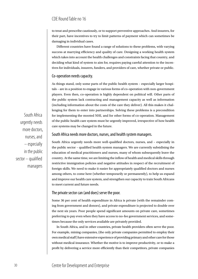to treat and prescribe cautiously, or to support preventive approaches. And insurers, for their part, have incentives to try to limit patterns of payment which can sometimes be damaging in individual cases.

Different countries have found a range of solutions to these problems, with varying success at marrying efficiency and quality of care. Designing a working health system which takes into account the health challenges and constraints facing that country, and deciding what kind of system to aim for, requires paying careful attention to the incentives for individuals, insurers, funders, and providers of care, whether private or public.

#### Co-operation needs capacity.

As things stand, only some parts of the public health system – especially larger hospitals – are in a position to engage in various forms of co-operation with non-government players. Even then, co-operation is highly dependent on political will. Other parts of the public system lack contracting and management capacity as well as information (including information about the costs of the care they deliver). All this makes it challenging for them to enter into partnerships. Solving these problems is a precondition for implementing the mooted NHI, and for other forms of co-operation. Management of the public health care system must be urgently improved, irrespective of how health care systems may be changed in the future.

#### South Africa needs more doctors, nurses, and health system managers.

South Africa urgently needs more well-qualified doctors, nurses, and – especially in the public sector – qualified health system managers. We are currently subsidising the education of medical practitioners and nurses, many of whom subsequently leave the country. At the same time, we are limiting the inflow of health and medical skills through restrictive immigration policies and negative attitudes in respect of the recruitment of foreign skills. We need to make it easier for appropriately qualified doctors and nurses among others, to come here (whether temporarily or permanently), to help us expand and improve our health care system, and strengthen our capacity to train South Africans to meet current and future needs.

#### The private sector can (and does) serve the poor.

Some 36 per cent of health expenditure in Africa is private (with the remainder coming from government and donors), and private expenditure is projected to double over the next six years. Poor people spend significant amounts on private care, sometimes preferring to pay even when they have access to no-fee government services, and sometimes because the only services available are privately provided.

In South Africa, and in other countries, private health providers often serve the poor. For example, mining companies, (the only private companies permitted to employ their own medical staff) have extensive experience of providing primary and other care for those without medical insurance. Whether the motive is to improve productivity, or to make a profit by delivering a service more efficiently than their competitors, private companies

South Africa urgently needs more doctors, nurses, and – especially in the public sector – qualified managers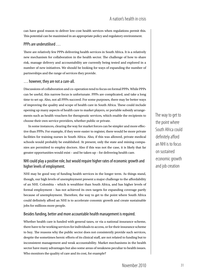can have good reason to deliver low-cost health services when regulations permit this. This potential can be maximised in an appropriate policy and regulatory environment.

#### PPPs are underutilised …

There are relatively few PPPs delivering health services in South Africa. It is a relatively new mechanism for collaboration in the health sector. The challenge of how to share risk, manage delivery and accountability are currently being tested and explored in a number of new initiatives. We should be looking for ways of expanding the number of partnerships and the range of services they provide.

#### … however, they are not a cure-all.

Discussions of collaboration and co-operation tend to focus on formal PPPs. While PPPs can be useful, this narrow focus is unfortunate. PPPs are complicated, and take a long time to set up. Also, not all PPPs succeed. For some purposes, there may be better ways of improving the quality and scope of health care in South Africa. These could include opening up many aspects of health care to market players, or portable subsidy arrangements such as health vouchers for therapeutic services, which enable the recipients to choose their own service providers, whether public or private.

In some instances, clearing the way for market forces can be simpler and more effective than PPPs. For example, if they were easier to register, there would be more private facilities for training nurses in South Africa. Also, if this was allowed, private medical schools would probably be established. At present, only the state and mining companies are permitted to employ doctors. Also if this was not the case, it is likely that far greater opportunities would exist – and be taken up – for delivering health care.

## NHI could play a positive role, but would require higher rates of economic growth and higher levels of employment.

NHI may be good way of funding health services in the longer term. As things stand, though, our high levels of unemployment present a major challenge to the affordability of an NHI. Colombia – which is wealthier than South Africa, and has higher levels of formal employment – has not achieved its own targets for expanding coverage partly because of unemployment. Therefore, the way to get to the point where South Africa could definitely afford an NHI is to accelerate conomic growth and create sustainable jobs for millions more people.

### Besides funding, better and more accountable health management is required.

Whether health care is funded with general taxes, or via a national insurance scheme, there have to be working services for individuals to access, or for their insurance scheme to buy. The reasons why the public sector does not consistently provide such services, despite the sometimes heroic efforts of its clinical staff, are not related to funding but to inconsistent management and weak accountability. Market mechanisms in the health sector have many advantages but also some areas of weakness peculiar to health issues. Who monitors the quality of care and its cost, for example?

The way to get to the point where South Africa could definitely afford an NHI is to focus on sustained economic growth and job creation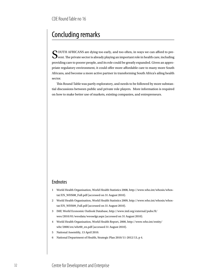## Concluding remarks

COUTH AFRICANS are dying too early, and too often, in ways we can afford to pre- $\mathbf{\mathcal{U}}$  vent. The private sector is already playing an important role in health care, including providing care to poorer people, and its role could be greatly expanded. Given an appropriate regulatory environment, it could offer more affordable care to many more South Africans, and become a more active partner in transforming South Africa's ailing health sector.

This Round Table was partly exploratory, and needs to be followed by more substantial discussions between public and private role players. More information is required on how to make better use of markets, existing companies, and entrepreneurs.

## Endnotes

- 1 World Health Organisation, World Health Statistics 2008, http://www.who.int/whosis/whostat/EN\_WHS08\_Full.pdf (accessed on 31 August 2010).
- 2 World Health Organisation, World Health Statistics 2009, http://www.who.int/whosis/whostat/EN\_WHS09\_Full.pdf (accessed on 31 August 2010).
- 3 IMF, World Economic Outlook Database, http://www.imf.org/external/pubs/ft/ weo/2010/01/weodata/weoselgr.aspx (accessed on 31 August 2010).
- 4 World Health Organisation, World Health Report, 2000, http://www.who.int/entity/ whr/2000/en/whr00\_en.pdf (accessed 31 August 2010).
- 5 National Assembly, 13 April 2010.
- 6 National Department of Health, Strategic Plan 2010/11-2012/13, p 4.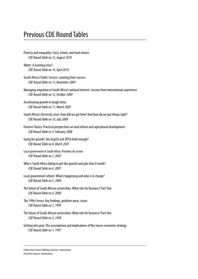## Previous CDE Round Tables

- Poverty and inequality: Facts, trends, and hard choices *CDE Round Table no 15, August 2010*
- Water: A looming crisis? *CDE Round Table no 14, April 2010*
- South Africa's Public Service: Learning from success *CDE Round Table no 13, November 2009*
- Managing migration in South Africa's national interest: Lessons from international experience *CDE Round Table no 12, October 2009*
- Accelerating growth in tough times *CDE Round Table no 11, March 2009*
- South Africa's electricity crisis: How did we get here? And how do we put things right? *CDE Round Table no 10, July 2008*
- Farmers' Voices: Practical perspectives on land reform and agricultural development *CDE Round Table no 9, February 2008*
- Going for growth: Are AsgiSA and JIPSA bold enough? *CDE Round Table no 8, March 2007*
- Local government in South Africa: Priorities for action *CDE Round Table no 7, 2003*
- Why is South Africa failing to get the growth and jobs that it needs? *CDE Round Table no 6, 2001*
- Local government reform: What's happening and who is in charge? *CDE Round Table no 5, 2000*
- The future of South African universities: What role for business? Part Two *CDE Round Table no 4, 2000*
- The 1996 Census: Key findings, problem areas, issues *CDE Round Table no 3, 1999*
- The future of South African universities: What role for business? Part One *CDE Round Table no 2, 1998*
- Getting into gear: The assumptions and implications of the macro-economic strategy *CDE Round Table no 1, 1997*

Produced by Acumen Publishing Solutions, Johannesburg Printed by Lawprint, Johannesburg